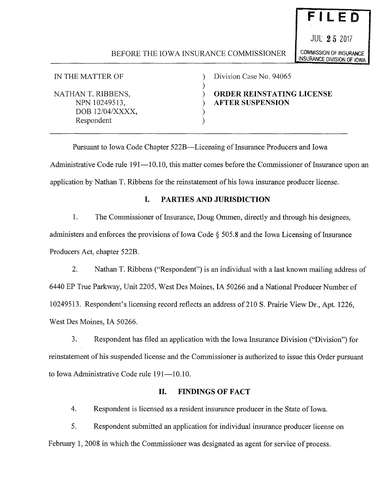# BEFORE THE IOWA INSURANCE COMMISSIONER COMMISSION OF INSURANCE

)

) )

IN THE MATTER OF

NATHAN T. RIBBENS, NPN 10249513, DOB 12/04/XXXX, Respondent

) Division Case No. 94065

) **ORDER REINSTATING LICENSE**  ) **AFTER SUSPENSION** 

Pursuant to Iowa Code Chapter 522B-Licensing of Insurance Producers and Iowa Administrative Code rule 191—10.10, this matter comes before the Commissioner of Insurance upon an application by Nathan T. Ribbens for the reinstatement of his Iowa insurance producer license.

### **I. PARTIES AND JURISDICTION**

1. The Commissioner of Insurance, Doug Ommen, directly and through his designees, administers and enforces the provisions of Iowa Code  $\S$  505.8 and the Iowa Licensing of Insurance Producers Act, chapter 522B.

2. Nathan T. Ribbens ("Respondent") is an individual with a last known mailing address of 6440 EP True Parkway, Unit 2205, West Des Moines, IA 50266 and a National Producer Number of 10249513. Respondent's licensing record reflects an address of210 S. Prairie View Dr., Apt. 1226, West Des Moines, IA 50266.

3. Respondent has filed an application with the Iowa Insurance Division ("Division") for reinstatement of his suspended license and the Commissioner is authorized to issue this Order pursuant to Iowa Administrative Code rule 191-10.10.

### **II. FINDINGS OF FACT**

4. Respondent is licensed as a resident insurance producer in the State of Iowa.

5. Respondent submitted an application for individual insurance producer license on February 1, 2008 in which the Commissioner was designated as agent for service of process.

JUL **2 5** <sup>2017</sup>

**FILE 0** 

INSURANCE DIVISION OF IOWA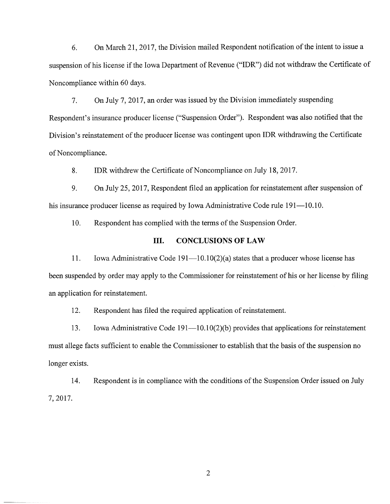6. On March 21, 2017, the Division mailed Respondent notification of the intent to issue a suspension of his license if the Iowa Department of Revenue ("IDR") did not withdraw the Certificate of Noncompliance within 60 days.

7. On July 7, 2017, an order was issued by the Division immediately suspending Respondent's insurance producer license ("Suspension Order"). Respondent was also notified that the Division's reinstatement of the producer license was contingent upon IDR withdrawing the Certificate of Noncompliance.

8. **IDR** withdrew the Certificate of Noncompliance on July 18, 2017.

9. On July 25, 2017, Respondent filed an application for reinstatement after suspension of his insurance producer license as required by Iowa Administrative Code rule 191—10.10.

10. Respondent has complied with the terms of the Suspension Order.

### **III. CONCLUSIONS OF LAW**

11. Iowa Administrative Code  $191-10.10(2)(a)$  states that a producer whose license has been suspended by order may apply to the Commissioner for reinstatement of his or her license by filing an application for reinstatement.

12. Respondent has filed the required application of reinstatement.

13. Iowa Administrative Code 191—10.10(2)(b) provides that applications for reinstatement must allege facts sufficient to enable the Commissioner to establish that the basis of the suspension no longer exists.

14. Respondent is in compliance with the conditions of the Suspension Order issued on July 7, 2017.

2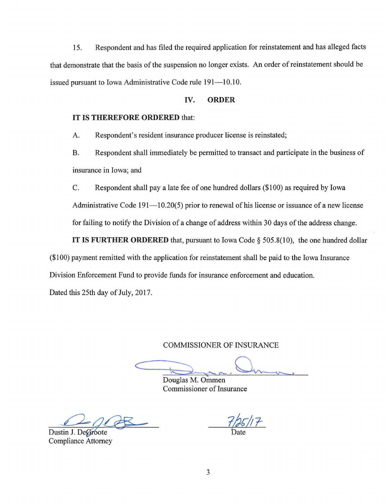15. Respondent and has filed the required application for reinstatement and has alleged facts that demonstrate that the basis of the suspension no longer exists. An order of reinstatement should be issued pursuant to Iowa Administrative Code rule 191-10.10.

#### **IV. ORDER**

#### **IT IS THEREFORE ORDERED** that:

A. Respondent's resident insurance producer license is reinstated;

B. Respondent shall immediately be permitted to transact and participate in the business of insurance in Iowa; and

C. Respondent shall pay a late fee of one hundred dollars (\$100) as required by Iowa Administrative Code  $191-10.20(5)$  prior to renewal of his license or issuance of a new license for failing to notify the Division of a change of address within 30 days of the address change.

**IT IS FURTHER ORDERED** that, pursuant to Iowa Code § 505.8(10), the one hundred dollar (\$100) payment remitted with the application for reinstatement shall be paid to the Iowa Insurance Division Enforcement Fund to provide funds for insurance enforcement and education.

Dated this 25th day of July, 2017.

COMMISSIONER OF INSURANCE

 $\subset$ 

Douglas M. Ommen Commissioner of Insurance

Dustin J. DeGroote Compliance Attorney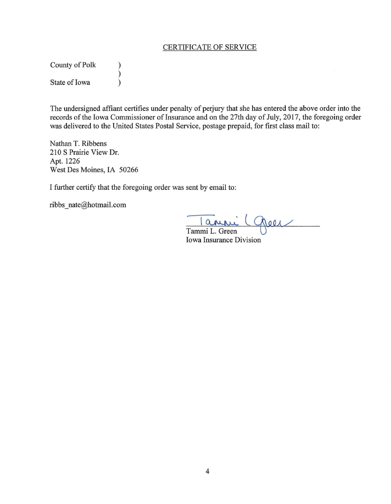# CERTIFICATE OF SERVICE

County of Polk  $\qquad$  ) )<br>) State of Iowa )

The undersigned affiant certifies under penalty of perjury that she has entered the above order into the records of the Iowa Commissioner of Insurance and on the 27th day of July, 2017, the foregoing order was delivered to the United States Postal Service, postage prepaid, for first class mail to:

Nathan T. Ribbens 210 S Prairie View Dr. Apt. 1226 West Des Moines, IA 50266

I further certify that the foregoing order was sent by email to:

ribbs\_nate@hotmail.com

anni Chees Tammi L. Green

**Iowa Insurance Division**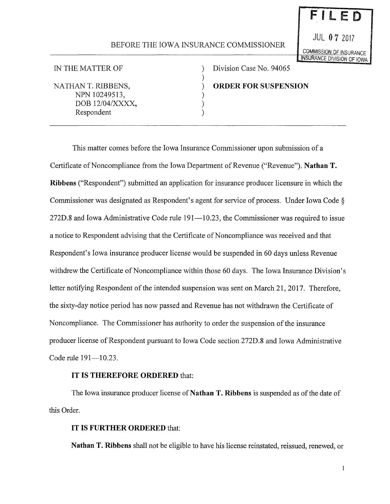## BEFORE THE IOWA INSURANCE COMMISSIONER

)

) ) )

JUL **0** 7 <sup>2017</sup> COMMISSION OF INSURANCE INSURANCE DIVISION OF IOWA

FILED

IN THE MATTER OF

NATHAN T. RIBBENS, NPN 10249513, DOB 12/04/XXXX, Respondent

) Division Case No. 94065 ) **ORDER FOR SUSPENSION** 

This matter comes before the Iowa Insurance Commissioner upon submission of a Certificate of Noncompliance from the Iowa Department of Revenue ("Revenue"). **Nathan T. Ribbens** ("Respondent") submitted an application for insurance producer licensure in which the Commissioner was designated as Respondent's agent for service of process. Under Iowa Code§ 272D.8 and Iowa Administrative Code rule 191—10.23, the Commissioner was required to issue a notice to Respondent advising that the Certificate of Noncompliance was received and that Respondent's Iowa insurance producer license would be suspended in 60 days unless Revenue withdrew the Certificate of Noncompliance within those 60 days. The Iowa Insurance Division's letter notifying Respondent of the intended suspension was sent on March 21, 2017. Therefore, the sixty-day notice period has now passed and Revenue has not withdrawn the Certificate of Noncompliance. The Commissioner has authority to order the suspension of the insurance producer license of Respondent pursuant to Iowa Code section 272D.8 and Iowa Administrative Code rule 191-10.23.

## **IT IS THEREFORE ORDERED** that:

The Iowa insurance producer license of **Nathan T. Ribbens** is suspended as of the date of this Order.

## **IT IS FURTHER ORDERED** that:

**Nathan T. Ribbens** shall not be eligible to have his license reinstated, reissued, renewed, or

 $\mathbf{1}$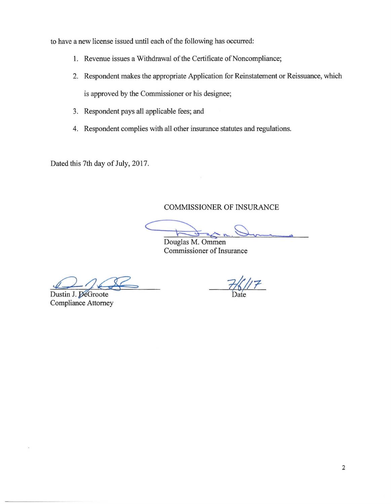to have a new license issued until each of the following has occurred:

- 1. Revenue issues a Withdrawal of the Certificate of Noncompliance;
- 2. Respondent makes the appropriate Application for Reinstatement or Reissuance, which is approved by the Commissioner or his designee;
- 3. Respondent pays all applicable fees; and
- 4. Respondent complies with all other insurance statutes and regulations.

Dated this 7th day of July, 2017.

COMMISSIONER OF INSURANCE

Don Que s>

Douglas M. Ommen Commissioner of Insurance

Dustin J. DeGroote Compliance Attorney